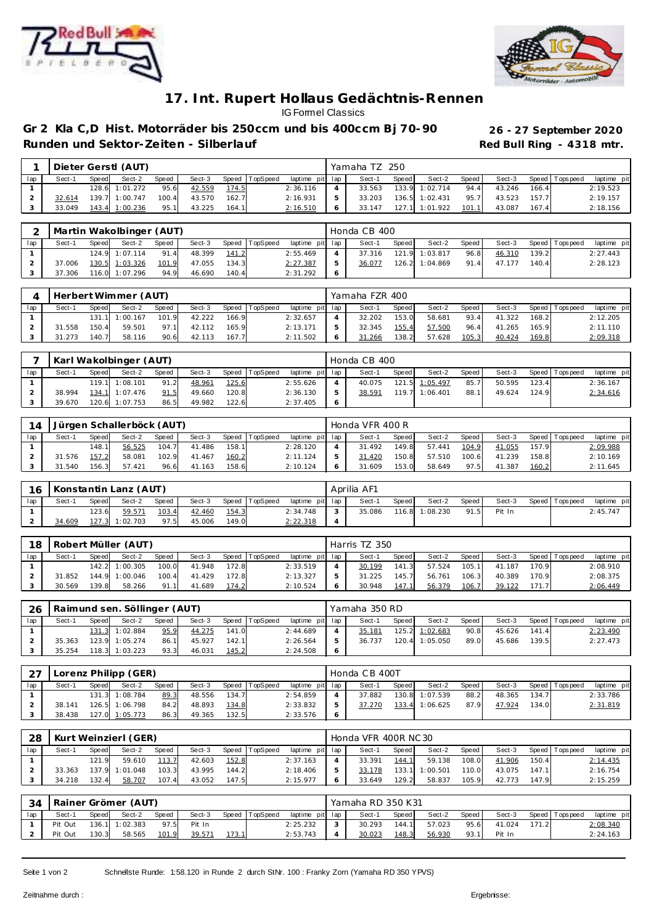



## **17. Int. Rupert Hollaus Gedächtnis-Rennen** IG Formel Classics

**Gr 2 Kla C,D Hist. Motorräder bis 250ccm und bis 400ccm Bj 70- 90 26 - 27 September 2020** Runden und Sektor-Zeiten - Silberlauf **Runden und Sektor-Zeiten - Silberlauf Red Bull Ring - 4318 mtr.** 

|     |        |       | Dieter Gerstl (AUT) |       |        |       |                |                 | Yamaha TZ 250 |         |                |       |        |       |                 |             |
|-----|--------|-------|---------------------|-------|--------|-------|----------------|-----------------|---------------|---------|----------------|-------|--------|-------|-----------------|-------------|
| lap | Sect-1 | Speed | Sect-2              | Speed | Sect-3 |       | Speed TopSpeed | laptime pit lap | Sect-1        | Speed I | Sect-2         | Speed | Sect-3 |       | Speed Tops peed | laptime pit |
|     |        |       | 128.6 1:01.272      | 95.6  | 42.559 | 174.5 |                | 2:36.116        | 33.563        |         | 133.9 1:02.714 | 94.4  | 43.246 | 166.4 |                 | 2:19.523    |
|     | 32.614 |       | 139.7 1:00.747      | 100.4 | 43.570 | 162.7 |                | 2:16.931        | 33.203        |         | 136.5 1:02.431 | 95.7  | 43.523 | 157.7 |                 | 2:19.157    |
|     | 33.049 |       | 143.4 1:00.236      | 95.1  | 43.225 | 164.1 |                | 2:16.510        | 33.147        |         | 127.1 1:01.922 | 101.1 | 43.087 | 167.4 |                 | 2:18.156    |

|     |        | Martin Wakolbinger (AUT)<br>Speed TopSpeed<br>Sect-2<br>Sect-3<br>Sect-1<br>Speed<br>Speed<br>124.9 1:07.114<br>91.4<br>48.399<br>141.2<br>130.5 1:03.326 |                |       |        |       |  |                 | Honda CB 400 |         |                |         |        |       |                   |             |
|-----|--------|-----------------------------------------------------------------------------------------------------------------------------------------------------------|----------------|-------|--------|-------|--|-----------------|--------------|---------|----------------|---------|--------|-------|-------------------|-------------|
| lap |        |                                                                                                                                                           |                |       |        |       |  | laptime pit lap | Sect-1       | Speed I | Sect-2         | Speed I | Sect-3 |       | Speed   Tops peed | laptime pit |
|     |        |                                                                                                                                                           |                |       |        |       |  | 2:55.469        | 37.316       |         | 121.9 1:03.817 | 96.8    | 46.310 | 139.2 |                   | 2:27.443    |
|     | 37.006 |                                                                                                                                                           |                | 101.9 | 47.055 | 134.3 |  | 2: 27.387       | 36.077       |         | 126.2 1:04.869 | 91.4    | 47.177 | 140.4 |                   | 2:28.123    |
|     | 37.306 |                                                                                                                                                           | 116.0 1:07.296 | 94.9  | 46.690 | 140.4 |  | 2:31.292        |              |         |                |         |        |       |                   |             |

|     |        |       | Herbert Wimmer (AUT) |       |        |       |                |                 |   | Yamaha FZR 400 |       |        |       |        |        |                   |             |
|-----|--------|-------|----------------------|-------|--------|-------|----------------|-----------------|---|----------------|-------|--------|-------|--------|--------|-------------------|-------------|
| lap | Sect-1 | Speed | Sect-2               | Speed | Sect-3 |       | Speed TopSpeed | laptime pit lap |   | Sect-1         | Speed | Sect-2 | Speed | Sect-3 |        | Speed   Tops peed | laptime pit |
|     |        |       | 131.1 1:00.167       | 101.9 | 42.222 | 166.9 |                | 2:32.657        |   | 32.202         | 153.0 | 58.681 | 93.4  | 41.322 | 168.2  |                   | 2:12.205    |
|     | 31.558 | 150.4 | 59.501               | 97.1  | 42.112 | 165.9 |                | 2:13.171        |   | 32.345         | 155.4 | 57.500 | 96.4  | 41.265 | 165.91 |                   | 2:11.110    |
|     | 31.273 | 140.7 | 58.116               | 90.6  | 42.113 | 167.7 |                | 2:11.502        | 6 | 31.266         | 138.2 | 57.628 | 105.3 | 40.424 | 169.8  |                   | 2:09.318    |

|     |        |       | Karl Wakolbinger (AUT) |       |        |       |          |                 | Honda CB 400 |       |                |       |        |       |                |             |
|-----|--------|-------|------------------------|-------|--------|-------|----------|-----------------|--------------|-------|----------------|-------|--------|-------|----------------|-------------|
| lap | Sect-1 | Speed | Sect-2                 | Speed | Sect-3 | Speed | TopSpeed | laptime pit lap | Sect-1       | Speed | Sect-2         | Speed | Sect-3 |       | Speed Topspeed | laptime pit |
|     |        |       | 119.1 1:08.101         | 91.2  | 48.961 | 125.6 |          | 2:55.626        | 40.075       |       | 121.5 1:05.497 | 85.7  | 50.595 | 123.4 |                | 2:36.167    |
|     | 38.994 |       | 134.1 1:07.476         | 91.5  | 49.660 | 120.8 |          | 2:36.130        | 38.591       |       | 119.7 1:06.401 | 88.1  | 49.624 | 124.9 |                | 2:34.616    |
|     | 39.670 |       | 120.6 1:07.753         | 86.5  | 49.982 | 122.6 |          | 2:37.405        |              |       |                |       |        |       |                |             |

| 14  |            |       | Jürgen Schallerböck (AUT) |       |        |       |                |                 | Honda VFR 400 R |       |        |         |        |       |                   |             |
|-----|------------|-------|---------------------------|-------|--------|-------|----------------|-----------------|-----------------|-------|--------|---------|--------|-------|-------------------|-------------|
| lap | Sect-1     | Speed | Sect-2                    | Speed | Sect-3 |       | Speed TopSpeed | laptime pit lap | Sect-1          | Speed | Sect-2 | Speed I | Sect-3 |       | Speed   Tops peed | laptime pit |
|     |            | 148.1 | 56.525                    | 104.7 | 41.486 | 158.1 |                | 2:28.120        | 31.492          | 149.8 | 57.441 | 104.9   | 41.055 | 157.9 |                   | 2:09.988    |
|     | .576<br>31 | 157.2 | 58.081                    | 102.9 | 41.467 | 160.2 |                | 2:11.124        | 31.420          | 150.8 | 57.510 | 100.6   | 41.239 | 158.8 |                   | 2:10.169    |
|     | 31.540     | 156.3 | 57.421                    | 96.6  | 41.163 | 158.6 |                | 2:10.124        | 31.609          | 153.0 | 58.649 | 97.5    | 41.387 | 160.2 |                   | 2:11.645    |

| 16  |        |       | Konstantin Lanz (AUT) |       |        |       |                |                 | Aprilia AF1 |       |                |         |        |                   |             |
|-----|--------|-------|-----------------------|-------|--------|-------|----------------|-----------------|-------------|-------|----------------|---------|--------|-------------------|-------------|
| lap | Sect-' | Speed | Sect-2                | Speed | Sect-3 |       | Speed TopSpeed | laptime pit lap | Sect-1      | Speed | Sect-2         | Speed I | Sect-3 | Speed   Tops peed | laptime pit |
|     |        | 123.6 | 59.571                | 103.4 | 42.460 | 154.3 |                | 2:34.748        | 35.086      |       | 116.8 1:08.230 | 91.5    | Pit In |                   | 2:45.747    |
|     | 34.609 |       | 127.3 1:02.703        | 97.5  | 45.006 | 149.0 |                | 2: 22.318       |             |       |                |         |        |                   |             |

| 18  |        |       | Robert Müller (AUT) |       |        |       |                |                 | Harris TZ 350 |         |        |       |        |       |                 |             |
|-----|--------|-------|---------------------|-------|--------|-------|----------------|-----------------|---------------|---------|--------|-------|--------|-------|-----------------|-------------|
| lap | Sect-1 | Speed | Sect-2              | Speed | Sect-3 |       | Speed TopSpeed | laptime pit lap | Sect-1        | Speed I | Sect-2 | Speed | Sect-3 |       | Speed Tops peed | laptime pit |
|     |        |       | 142.2 1:00.305      | 100.0 | 41.948 | 172.8 |                | 2:33.519        | 30.199        | 141.3   | 57.524 | 105.1 | 41.187 | 170.9 |                 | 2:08.910    |
|     | 31.852 |       | 144.9 1:00.046      | 100.4 | 41.429 | 172.8 |                | 2:13.327        | 31.225        | 145.7   | 56.761 | 106.3 | 40.389 | 170.9 |                 | 2:08.375    |
|     | 30.569 | 139.8 | 58.266              | 91.1  | 41.689 | 174.2 |                | 2:10.524        | 30.948        | 147.1   | 56.379 | 106.7 | 39.122 | 171.7 |                 | 2:06.449    |

| 26  |        |       | Raimund sen. Söllinger (AUT) |       |        |       |                |                 | Yamaha 350 RD |         |                |       |        |       |                   |             |
|-----|--------|-------|------------------------------|-------|--------|-------|----------------|-----------------|---------------|---------|----------------|-------|--------|-------|-------------------|-------------|
| lap | Sect-1 | Speed | Sect-2                       | Speed | Sect-3 |       | Speed TopSpeed | laptime pit lap | Sect-1        | Speed I | Sect-2         | Speed | Sect-3 |       | Speed   Tops peed | laptime pit |
|     |        |       | 131.3 1:02.884               | 95.9  | 44.275 | 141.0 |                | 2:44.689        | 35.181        |         | 125.2 1:02.683 | 90.8  | 45.626 | 141.4 |                   | 2:23.490    |
|     | 35.363 |       | 123.9 1:05.274               | 86.1  | 45.927 | 142.1 |                | 2:26.564        | 36.737        |         | 120.4 1:05.050 | 89.0  | 45.686 | 139.5 |                   | 2:27.473    |
|     | 35.254 |       | 118.3 1:03.223               | 93.3  | 46.031 | 145.2 |                | 2:24.508        |               |         |                |       |        |       |                   |             |

| つフ  | Lorenz Philipp (GER)<br>Speed TopSpeed<br>Sect-2<br>Sect-3<br>Speed<br>Sect-′<br>Speed<br>131.3 1:08.784<br>134.7<br>89.3<br>48.556 |  |                |      |        |        |  |                 |         | Honda CB 400T |       |                |       |        |       |                 |             |
|-----|-------------------------------------------------------------------------------------------------------------------------------------|--|----------------|------|--------|--------|--|-----------------|---------|---------------|-------|----------------|-------|--------|-------|-----------------|-------------|
| lap |                                                                                                                                     |  |                |      |        |        |  | laptime pit lap |         | Sect-1        | Speed | Sect-2         | Speed | Sect-3 |       | Speed Tops peed | laptime pit |
|     |                                                                                                                                     |  |                |      |        |        |  | 2:54.859        |         | 37.882        |       | 130.8 1:07.539 | 88.2  | 48.365 | 134.7 |                 | 2:33.786    |
|     | 38.141                                                                                                                              |  | 126.5 1:06.798 | 84.2 | 48.893 | 134.8  |  | 2:33.832        |         | 37.270        | 133.4 | 1:06.625       | 87.9  | 47.924 | 134.0 |                 | 2:31.819    |
|     | 38.438                                                                                                                              |  | 127.0 1:05.773 | 86.3 | 49.365 | 132.51 |  | 2:33.576        | $\circ$ |               |       |                |       |        |       |                 |             |

| 28  |        |       | Kurt Weinzierl (GER) |       |        |       |          |                 | Honda VFR 400R NC 30 |       |          |       |        |       |                 |             |
|-----|--------|-------|----------------------|-------|--------|-------|----------|-----------------|----------------------|-------|----------|-------|--------|-------|-----------------|-------------|
| lap | Sect-1 | Speed | Sect-2               | Speed | Sect-3 | Speed | TopSpeed | laptime pit lap | Sect-1               | Speed | Sect-2   | Speed | Sect-3 | Speed | <b>Topspeed</b> | laptime pit |
|     |        | 121.9 | 59.610               | 113.7 | 42.603 | 152.8 |          | 2:37.163        | 33.391               | 144.7 | 59.138   | 108.0 | 41.906 | 150.4 |                 | 2:14.435    |
|     | 33.363 |       | 137.9 1:01.048       | 103.3 | 43.995 | 144.2 |          | 2:18.406        | 33.178               | 133.1 | 1:00.501 | 110.0 | 43.075 | 147.1 |                 | 2:16.754    |
|     | 34.218 | 132.4 | 58.707               | 107.4 | 43.052 | 147.5 |          | 2:15.977        | 33.649               | 129.2 | 58.837   | 105.9 | 42.773 | 147.9 |                 | 2:15.259    |

| 34  |         |       | Rainer Grömer (AUT) |       |        |       |          |                 | Yamaha RD 350 K31 |       |        |       |        |       |                   |             |
|-----|---------|-------|---------------------|-------|--------|-------|----------|-----------------|-------------------|-------|--------|-------|--------|-------|-------------------|-------------|
| lap | Sect-1  | Speed | Sect-2              | Speed | Sect-3 | Speed | TopSpeed | laptime pit lap | Sect-1            | Speed | Sect-2 | Speed | Sect-3 |       | Speed   Tops peed | laptime pit |
|     | Pit Out |       | 136.1 1:02.383      | 97.5  | Pit In |       |          | 2:25.232        | 30.293            | 144.1 | 57.023 | 95.6  | 41.024 | 171.2 |                   | 2:08.340    |
|     | Pit Out | 130.3 | 58.565              | 101.9 | 39.571 | 173.1 |          | 2:53.743        | 30.023            | 148.3 | 56.930 | 93.1  | Pit In |       |                   | 2:24.163    |